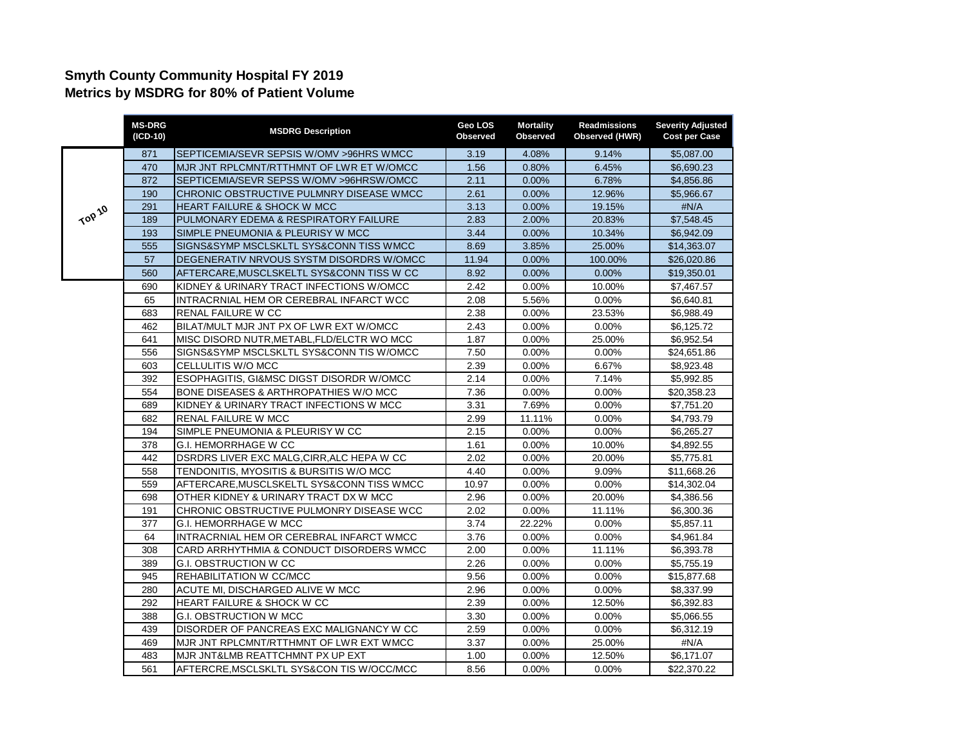## **Smyth County Community Hospital FY 2019 Metrics by MSDRG for 80% of Patient Volume**

|        | <b>MS-DRG</b><br>(ICD-10) | <b>MSDRG Description</b>                   | Geo LOS<br><b>Observed</b> | <b>Mortality</b><br><b>Observed</b> | <b>Readmissions</b><br>Observed (HWR) | <b>Severity Adjusted</b><br><b>Cost per Case</b> |
|--------|---------------------------|--------------------------------------------|----------------------------|-------------------------------------|---------------------------------------|--------------------------------------------------|
| TOP 10 | 871                       | SEPTICEMIA/SEVR SEPSIS W/OMV >96HRS WMCC   | 3.19                       | 4.08%                               | 9.14%                                 | \$5,087.00                                       |
|        | 470                       | MJR JNT RPLCMNT/RTTHMNT OF LWR ET W/OMCC   | 1.56                       | 0.80%                               | 6.45%                                 | \$6,690.23                                       |
|        | 872                       | SEPTICEMIA/SEVR SEPSS W/OMV >96HRSW/OMCC   | 2.11                       | 0.00%                               | 6.78%                                 | \$4,856.86                                       |
|        | 190                       | CHRONIC OBSTRUCTIVE PULMNRY DISEASE WMCC   | 2.61                       | 0.00%                               | 12.96%                                | \$5,966.67                                       |
|        | 291                       | <b>HEART FAILURE &amp; SHOCK W MCC</b>     | 3.13                       | 0.00%                               | 19.15%                                | #N/A                                             |
|        | 189                       | PULMONARY EDEMA & RESPIRATORY FAILURE      | 2.83                       | 2.00%                               | 20.83%                                | \$7,548.45                                       |
|        | 193                       | SIMPLE PNEUMONIA & PLEURISY W MCC          | 3.44                       | $0.00\%$                            | 10.34%                                | \$6,942.09                                       |
|        | 555                       | SIGNS&SYMP MSCLSKLTL SYS&CONN TISS WMCC    | 8.69                       | 3.85%                               | 25.00%                                | \$14,363.07                                      |
|        | 57                        | DEGENERATIV NRVOUS SYSTM DISORDRS W/OMCC   | 11.94                      | $0.00\%$                            | 100.00%                               | \$26,020.86                                      |
|        | 560                       | AFTERCARE, MUSCLSKELTL SYS&CONN TISS W CC  | 8.92                       | $0.00\%$                            | $0.00\%$                              | \$19,350.01                                      |
|        | 690                       | KIDNEY & URINARY TRACT INFECTIONS W/OMCC   | 2.42                       | $0.00\%$                            | 10.00%                                | \$7,467.57                                       |
|        | 65                        | INTRACRNIAL HEM OR CEREBRAL INFARCT WCC    | 2.08                       | 5.56%                               | 0.00%                                 | \$6,640.81                                       |
|        | 683                       | RENAL FAILURE W CC                         | 2.38                       | $0.00\%$                            | 23.53%                                | \$6,988.49                                       |
|        | 462                       | BILAT/MULT MJR JNT PX OF LWR EXT W/OMCC    | 2.43                       | 0.00%                               | 0.00%                                 | \$6,125.72                                       |
|        | 641                       | MISC DISORD NUTR, METABL, FLD/ELCTR WO MCC | 1.87                       | 0.00%                               | 25.00%                                | \$6,952.54                                       |
|        | 556                       | SIGNS&SYMP MSCLSKLTL SYS&CONN TIS W/OMCC   | 7.50                       | 0.00%                               | 0.00%                                 | \$24,651.86                                      |
|        | 603                       | CELLULITIS W/O MCC                         | 2.39                       | 0.00%                               | 6.67%                                 | \$8,923.48                                       |
|        | 392                       | ESOPHAGITIS, GI&MSC DIGST DISORDR W/OMCC   | 2.14                       | 0.00%                               | 7.14%                                 | \$5,992.85                                       |
|        | 554                       | BONE DISEASES & ARTHROPATHIES W/O MCC      | 7.36                       | 0.00%                               | 0.00%                                 | \$20,358.23                                      |
|        | 689                       | KIDNEY & URINARY TRACT INFECTIONS W MCC    | 3.31                       | 7.69%                               | 0.00%                                 | \$7,751.20                                       |
|        | 682                       | RENAL FAILURE W MCC                        | 2.99                       | 11.11%                              | 0.00%                                 | \$4,793.79                                       |
|        | 194                       | SIMPLE PNEUMONIA & PLEURISY W CC           | 2.15                       | 0.00%                               | 0.00%                                 | \$6,265.27                                       |
|        | 378                       | G.I. HEMORRHAGE W CC                       | 1.61                       | 0.00%                               | 10.00%                                | \$4,892.55                                       |
|        | 442                       | DSRDRS LIVER EXC MALG, CIRR, ALC HEPA W CC | 2.02                       | $0.00\%$                            | 20.00%                                | \$5,775.81                                       |
|        | 558                       | TENDONITIS, MYOSITIS & BURSITIS W/O MCC    | 4.40                       | 0.00%                               | 9.09%                                 | \$11,668.26                                      |
|        | 559                       | AFTERCARE, MUSCLSKELTL SYS&CONN TISS WMCC  | 10.97                      | $0.00\%$                            | 0.00%                                 | \$14,302.04                                      |
|        | 698                       | OTHER KIDNEY & URINARY TRACT DX W MCC      | 2.96                       | $0.00\%$                            | 20.00%                                | \$4,386.56                                       |
|        | 191                       | CHRONIC OBSTRUCTIVE PULMONRY DISEASE WCC   | 2.02                       | 0.00%                               | 11.11%                                | \$6,300.36                                       |
|        | 377                       | <b>G.I. HEMORRHAGE W MCC</b>               | 3.74                       | 22.22%                              | 0.00%                                 | \$5,857.11                                       |
|        | 64                        | INTRACRNIAL HEM OR CEREBRAL INFARCT WMCC   | 3.76                       | $0.00\%$                            | 0.00%                                 | \$4,961.84                                       |
|        | 308                       | CARD ARRHYTHMIA & CONDUCT DISORDERS WMCC   | 2.00                       | 0.00%                               | 11.11%                                | \$6,393.78                                       |
|        | 389                       | <b>G.I. OBSTRUCTION W CC</b>               | 2.26                       | 0.00%                               | 0.00%                                 | \$5,755.19                                       |
|        | 945                       | REHABILITATION W CC/MCC                    | 9.56                       | 0.00%                               | 0.00%                                 | \$15,877.68                                      |
|        | 280                       | ACUTE MI, DISCHARGED ALIVE W MCC           | 2.96                       | 0.00%                               | 0.00%                                 | \$8,337.99                                       |
|        | 292                       | HEART FAILURE & SHOCK W CC                 | 2.39                       | 0.00%                               | 12.50%                                | \$6,392.83                                       |
|        | 388                       | G.I. OBSTRUCTION W MCC                     | 3.30                       | 0.00%                               | 0.00%                                 | \$5,066.55                                       |
|        | 439                       | DISORDER OF PANCREAS EXC MALIGNANCY W CC   | 2.59                       | 0.00%                               | 0.00%                                 | \$6,312.19                                       |
|        | 469                       | MJR JNT RPLCMNT/RTTHMNT OF LWR EXT WMCC    | 3.37                       | 0.00%                               | 25.00%                                | #N/A                                             |
|        | 483                       | MJR JNT&LMB REATTCHMNT PX UP EXT           | 1.00                       | 0.00%                               | 12.50%                                | \$6,171.07                                       |
|        | 561                       | AFTERCRE, MSCLSKLTL SYS&CON TIS W/OCC/MCC  | 8.56                       | 0.00%                               | 0.00%                                 | \$22,370.22                                      |